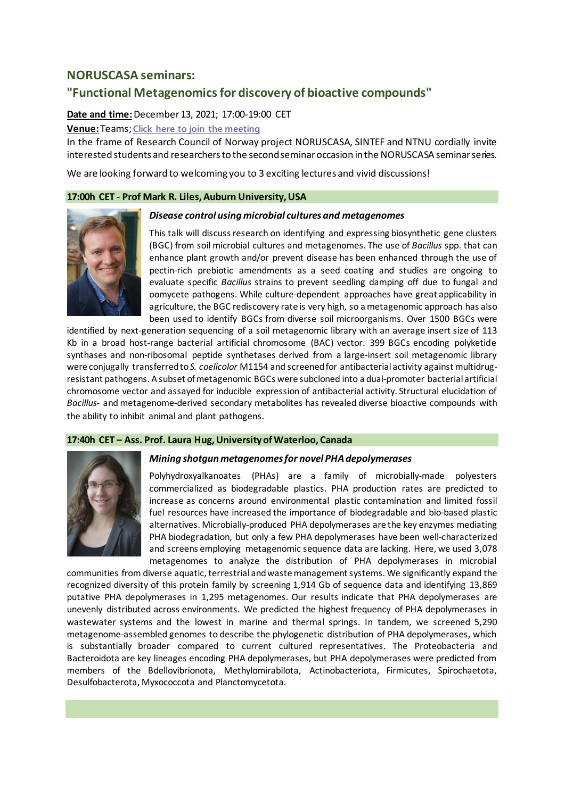## **NORUSCASA seminars:**

# **"Functional Metagenomics for discovery of bioactive compounds"**

## **Date and time:**December13, 2021; 17:00-19:00 CET

**Venue:** Teams;**[Click here to join the meeting](https://teams.microsoft.com/l/meetup-join/19%3ameeting_MWY5OGVhNWUtMmJiYi00OTY3LTlhZjgtMDAzYTJlNDg1MjZl%40thread.v2/0?context=%7b%22Tid%22%3a%22e1f00f39-6041-45b0-b309-e0210d8b32af%22%2c%22Oid%22%3a%221598f171-dc36-4fa5-be94-33d672d4b9b6%22%7d)**

In the frame of Research Council of Norway project NORUSCASA, SINTEF and NTNU cordially invite interested students and researchers to the secondseminar occasion in the NORUSCASA seminar series.

We are looking forward to welcoming you to 3 exciting lectures and vivid discussions!

#### **17:00h CET - Prof Mark R. Liles,Auburn University, USA**



#### *Disease control using microbial cultures and metagenomes*

This talk will discuss research on identifying and expressing biosynthetic gene clusters (BGC) from soil microbial cultures and metagenomes. The use of *Bacillus* spp. that can enhance plant growth and/or prevent disease has been enhanced through the use of pectin-rich prebiotic amendments as a seed coating and studies are ongoing to evaluate specific *Bacillus* strains to prevent seedling damping off due to fungal and oomycete pathogens. While culture-dependent approaches have great applicability in agriculture, the BGC rediscovery rate is very high, so a metagenomic approach has also been used to identify BGCs from diverse soil microorganisms. Over 1500 BGCs were

identified by next-generation sequencing of a soil metagenomic library with an average insert size of 113 Kb in a broad host-range bacterial artificial chromosome (BAC) vector. 399 BGCs encoding polyketide synthases and non-ribosomal peptide synthetases derived from a large-insert soil metagenomic library were conjugally transferred to *S. coelicolor* M1154 and screened for antibacterial activity against multidrugresistant pathogens. A subset of metagenomic BGCs were subcloned into a dual-promoter bacterial artificial chromosome vector and assayed for inducible expression of antibacterial activity. Structural elucidation of *Bacillus*- and metagenome-derived secondary metabolites has revealed diverse bioactive compounds with the ability to inhibit animal and plant pathogens.

*Mining shotgun metagenomes for novel PHA depolymerases*

## **17:40h CET – Ass. Prof. Laura Hug, University of Waterloo, Canada**



Polyhydroxyalkanoates (PHAs) are a family of microbially-made polyesters commercialized as biodegradable plastics. PHA production rates are predicted to increase as concerns around environmental plastic contamination and limited fossil fuel resources have increased the importance of biodegradable and bio-based plastic alternatives. Microbially-produced PHA depolymerases are the key enzymes mediating PHA biodegradation, but only a few PHA depolymerases have been well-characterized and screens employing metagenomic sequence data are lacking. Here, we used 3,078 metagenomes to analyze the distribution of PHA depolymerases in microbial

communities from diverse aquatic, terrestrial and waste management systems. We significantly expand the recognized diversity of this protein family by screening 1,914 Gb of sequence data and identifying 13,869 putative PHA depolymerases in 1,295 metagenomes. Our results indicate that PHA depolymerases are unevenly distributed across environments. We predicted the highest frequency of PHA depolymerases in wastewater systems and the lowest in marine and thermal springs. In tandem, we screened 5,290 metagenome-assembled genomes to describe the phylogenetic distribution of PHA depolymerases, which is substantially broader compared to current cultured representatives. The Proteobacteria and Bacteroidota are key lineages encoding PHA depolymerases, but PHA depolymerases were predicted from members of the Bdellovibrionota, Methylomirabilota, Actinobacteriota, Firmicutes, Spirochaetota, Desulfobacterota, Myxococcota and Planctomycetota.